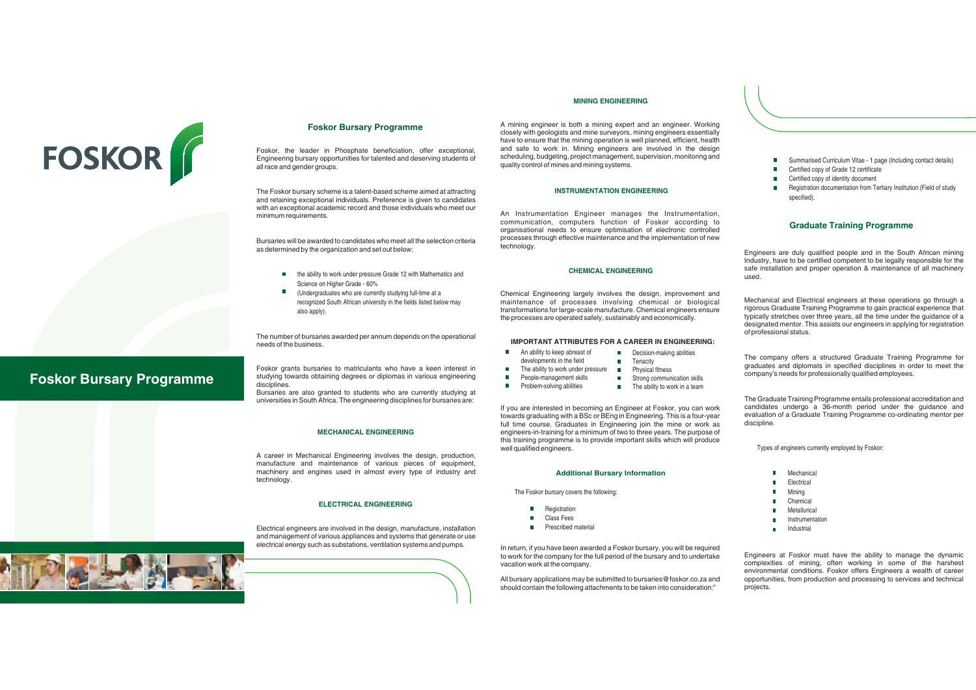

**Foskor Bursary Programme**

## **Foskor Bursary Programme**

Foskor, the leader in Phosphate beneficiation, offer exceptional, Engineering bursary opportunities for talented and deserving students of all race and gender groups.

The Foskor bursary scheme is <sup>a</sup> talent-based scheme aimed at attracting and retaining exceptional individuals. Preference is given to candidates with an exceptional academic record and those individuals who meet our minimum requirements.

Bursaries will be awarded to candidates who meet all the selection criteria s determined by the organization and set out below:

- the ability to work under pressure Grade 12 with Mathematics and Science on Higher Grade - 60%
- (Undergraduates who are currently studying full-time at <sup>a</sup> recognized South African university in the fields listed below may also apply).

The number of bursaries awarded per annum depends on the operational needs of the business.

Foskor grants bursaries to matriculants who have <sup>a</sup> keen interest in studying towards obtaining degrees or diplomas in various engineering disciplines.

Bursaries are also granted to students who are currently studying at universities in South Africa. The engineering disciplines for bursaries are:

## **MECHANICAL ENGINEERING**

A career in Mechanical Engineering involves the design, production, manufacture and maintenance of various pieces of equipment, machinery and engines used in almost every type of industry and technology.

#### **ELECTRICAL ENGINEERING**

Electrical engineers are involved in the design, manufacture, installation and management of various appliances and systems that generate or use electrical energy such as substations, ventilation systems and pumps.



A mining engineer is both <sup>a</sup> mining expert and an engineer. Working closely with geologists and mine surveyors, mining engineers essentially have to ensure that the mining operation is well planned, efficient, health and safe to work in. Mining engineers are involved in the design scheduling, budgeting, project management, supervision, monitoring and quality control of mines and mining systems.

#### **INSTRUMENTATION ENGINEERING**

An Instrumentation Engineer manages the Instrumentation, communication, computers function of Foskor according to organisational needs to ensure optimisation of electronic controlled processes through effective maintenance and the implementation of new

#### **CHEMICAL ENGINEERING**

Chemical Engineering largely involves the design, improvement and maintenance of processes involving chemical or biological transformations for large-scale manufacture. Chemical engineers ensure the processes are operated safely, sustainably and economically.

#### **IMPORTANT ATTRIBUTES FOR A CAREER IN ENGINEERING:**

Decision-making abilities **Tenacity** 

- An ability to keep abreast of m.
- developments in the field
- The ability to work under pressure Physical fitness Strong communication skills
- People-management skills m. Problem-solving abilities
	- The ability to work in <sup>a</sup> team

If you are interested in becoming an Engineer at Foskor, you can work towards graduating with <sup>a</sup> BSc or BEng in Engineering. This is <sup>a</sup> four-year full time course. Graduates in Engineering join the mine or work as engineers-in-training for <sup>a</sup> minimum of two to three years. The purpose of this training programme is to provide important skills which will produce well qualified engineers.

#### **Additional Bursary Information**

The Foskor bursary covers the following:

- **Registration**
- Class Fees
- Prescribed material

In return, if you have been awarded <sup>a</sup> Foskor bursary, you will be required to work for the company for the full period of the bursary and to undertake vacation work at the company.

All bursary applications may be submitted to bursaries@foskor.co.za and should contain the following attachments to be taken into consideration:"

- ×. Summarised Curriculum Vitae - 1 page (Including contact details)
- Certified copy of Grade 12 certificate
- Certified copy of identity document
- Registration documentation from Tertiary Institution (Field of study specified)

## **Graduate Training Programme**

Engineers are duly qualified people and in the South African mining Industry, have to be certified competent to be legally responsible for the safe installation and proper operation & maintenance of all machinery used.

Mechanical and Electrical engineers at these operations go through <sup>a</sup> rigorous Graduate Training Programme to gain practical experience that typically stretches over three years, all the time under the guidance of <sup>a</sup> designated mentor. This assists our engineers in applying for registration of professional status.

The company offers <sup>a</sup> structured Graduate Training Programme for graduates and diplomats in specified disciplines in order to meet the company's needs for professionally qualified employees.

The Graduate Training Programme entails professional accreditation and candidates undergo <sup>a</sup> 36-month period under the guidance and evaluation of <sup>a</sup> Graduate Training Programme co-ordinating mentor per discipline.

Types of engineers currently employed by Foskor:

- m. Mechanical
- Electrical
- Mining
- **Chemical** Metallurical
- 
- a. Instrumentation
	- Industrial

Engineers at Foskor must have the ability to manage the dynamic complexities of mining, often working in some of the harshest environmental conditions. Foskor offers Engineers <sup>a</sup> wealth of career opportunities, from production and processing to services and technical projects.

## **MINING ENGINEERING**